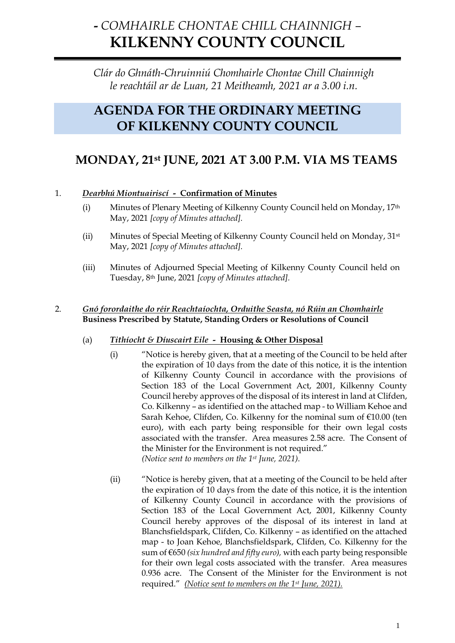# **-** *COMHAIRLE CHONTAE CHILL CHAINNIGH –* **KILKENNY COUNTY COUNCIL**

*Clár do Ghnáth-Chruinniú Chomhairle Chontae Chill Chainnigh le reachtáil ar de Luan, 21 Meitheamh, 2021 ar a 3.00 i.n.*

## **AGENDA FOR THE ORDINARY MEETING OF KILKENNY COUNTY COUNCIL**

## **MONDAY, 21st JUNE, 2021 AT 3.00 P.M. VIA MS TEAMS**

## 1. *Dearbhú Miontuairiscí -* **Confirmation of Minutes**

- (i) Minutes of Plenary Meeting of Kilkenny County Council held on Monday, 17th May, 2021 *[copy of Minutes attached].*
- (ii) Minutes of Special Meeting of Kilkenny County Council held on Monday, 31st May, 2021 *[copy of Minutes attached].*
- (iii) Minutes of Adjourned Special Meeting of Kilkenny County Council held on Tuesday, 8th June, 2021 *[copy of Minutes attached].*

### 2. *Gnó forordaithe do réir Reachtaíochta, Orduithe Seasta, nó Rúin an Chomhairle* **Business Prescribed by Statute, Standing Orders or Resolutions of Council**

## (a) *Tithíocht & Díuscairt Eile -* **Housing & Other Disposal**

- (i) "Notice is hereby given, that at a meeting of the Council to be held after the expiration of 10 days from the date of this notice, it is the intention of Kilkenny County Council in accordance with the provisions of Section 183 of the Local Government Act, 2001, Kilkenny County Council hereby approves of the disposal of its interest in land at Clifden, Co. Kilkenny – as identified on the attached map - to William Kehoe and Sarah Kehoe, Clifden, Co. Kilkenny for the nominal sum of €10.00 (ten euro), with each party being responsible for their own legal costs associated with the transfer. Area measures 2.58 acre. The Consent of the Minister for the Environment is not required." *(Notice sent to members on the 1st June, 2021).*
- (ii) "Notice is hereby given, that at a meeting of the Council to be held after the expiration of 10 days from the date of this notice, it is the intention of Kilkenny County Council in accordance with the provisions of Section 183 of the Local Government Act, 2001, Kilkenny County Council hereby approves of the disposal of its interest in land at Blanchsfieldspark, Clifden, Co. Kilkenny – as identified on the attached map - to Joan Kehoe, Blanchsfieldspark, Clifden, Co. Kilkenny for the sum of €650 *(six hundred and fifty euro),* with each party being responsible for their own legal costs associated with the transfer. Area measures 0.936 acre. The Consent of the Minister for the Environment is not required." *(Notice sent to members on the 1st June, 2021).*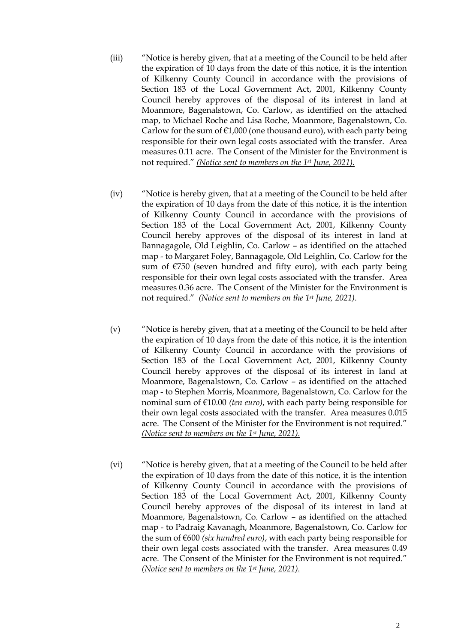- (iii) "Notice is hereby given, that at a meeting of the Council to be held after the expiration of 10 days from the date of this notice, it is the intention of Kilkenny County Council in accordance with the provisions of Section 183 of the Local Government Act, 2001, Kilkenny County Council hereby approves of the disposal of its interest in land at Moanmore, Bagenalstown, Co. Carlow, as identified on the attached map, to Michael Roche and Lisa Roche, Moanmore, Bagenalstown, Co. Carlow for the sum of  $E1,000$  (one thousand euro), with each party being responsible for their own legal costs associated with the transfer. Area measures 0.11 acre. The Consent of the Minister for the Environment is not required." *(Notice sent to members on the 1st June, 2021).*
- (iv) "Notice is hereby given, that at a meeting of the Council to be held after the expiration of 10 days from the date of this notice, it is the intention of Kilkenny County Council in accordance with the provisions of Section 183 of the Local Government Act, 2001, Kilkenny County Council hereby approves of the disposal of its interest in land at Bannagagole, Old Leighlin, Co. Carlow – as identified on the attached map - to Margaret Foley, Bannagagole, Old Leighlin, Co. Carlow for the sum of €750 (seven hundred and fifty euro), with each party being responsible for their own legal costs associated with the transfer. Area measures 0.36 acre. The Consent of the Minister for the Environment is not required." *(Notice sent to members on the 1st June, 2021).*
- (v) "Notice is hereby given, that at a meeting of the Council to be held after the expiration of 10 days from the date of this notice, it is the intention of Kilkenny County Council in accordance with the provisions of Section 183 of the Local Government Act, 2001, Kilkenny County Council hereby approves of the disposal of its interest in land at Moanmore, Bagenalstown, Co. Carlow – as identified on the attached map - to Stephen Morris, Moanmore, Bagenalstown, Co. Carlow for the nominal sum of €10.00 *(ten euro)*, with each party being responsible for their own legal costs associated with the transfer. Area measures 0.015 acre. The Consent of the Minister for the Environment is not required." *(Notice sent to members on the 1st June, 2021).*
- (vi) "Notice is hereby given, that at a meeting of the Council to be held after the expiration of 10 days from the date of this notice, it is the intention of Kilkenny County Council in accordance with the provisions of Section 183 of the Local Government Act, 2001, Kilkenny County Council hereby approves of the disposal of its interest in land at Moanmore, Bagenalstown, Co. Carlow – as identified on the attached map - to Padraig Kavanagh, Moanmore, Bagenalstown, Co. Carlow for the sum of €600 *(six hundred euro)*, with each party being responsible for their own legal costs associated with the transfer. Area measures 0.49 acre. The Consent of the Minister for the Environment is not required." *(Notice sent to members on the 1st June, 2021).*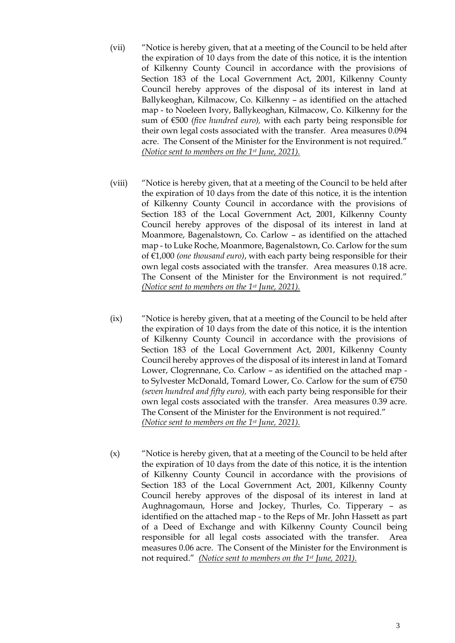- (vii) "Notice is hereby given, that at a meeting of the Council to be held after the expiration of 10 days from the date of this notice, it is the intention of Kilkenny County Council in accordance with the provisions of Section 183 of the Local Government Act, 2001, Kilkenny County Council hereby approves of the disposal of its interest in land at Ballykeoghan, Kilmacow, Co. Kilkenny – as identified on the attached map - to Noeleen Ivory, Ballykeoghan, Kilmacow, Co. Kilkenny for the sum of €500 *(five hundred euro),* with each party being responsible for their own legal costs associated with the transfer. Area measures 0.094 acre. The Consent of the Minister for the Environment is not required." *(Notice sent to members on the 1st June, 2021).*
- (viii) "Notice is hereby given, that at a meeting of the Council to be held after the expiration of 10 days from the date of this notice, it is the intention of Kilkenny County Council in accordance with the provisions of Section 183 of the Local Government Act, 2001, Kilkenny County Council hereby approves of the disposal of its interest in land at Moanmore, Bagenalstown, Co. Carlow – as identified on the attached map - to Luke Roche, Moanmore, Bagenalstown, Co. Carlow for the sum of €1,000 *(one thousand euro)*, with each party being responsible for their own legal costs associated with the transfer. Area measures 0.18 acre. The Consent of the Minister for the Environment is not required." *(Notice sent to members on the 1st June, 2021).*
- (ix) "Notice is hereby given, that at a meeting of the Council to be held after the expiration of 10 days from the date of this notice, it is the intention of Kilkenny County Council in accordance with the provisions of Section 183 of the Local Government Act, 2001, Kilkenny County Council hereby approves of the disposal of its interest in land at Tomard Lower, Clogrennane, Co. Carlow – as identified on the attached map to Sylvester McDonald, Tomard Lower, Co. Carlow for the sum of €750 *(seven hundred and fifty euro),* with each party being responsible for their own legal costs associated with the transfer. Area measures 0.39 acre. The Consent of the Minister for the Environment is not required." *(Notice sent to members on the 1st June, 2021).*
- (x) "Notice is hereby given, that at a meeting of the Council to be held after the expiration of 10 days from the date of this notice, it is the intention of Kilkenny County Council in accordance with the provisions of Section 183 of the Local Government Act, 2001, Kilkenny County Council hereby approves of the disposal of its interest in land at Aughnagomaun, Horse and Jockey, Thurles, Co. Tipperary – as identified on the attached map - to the Reps of Mr. John Hassett as part of a Deed of Exchange and with Kilkenny County Council being responsible for all legal costs associated with the transfer. Area measures 0.06 acre. The Consent of the Minister for the Environment is not required." *(Notice sent to members on the 1st June, 2021).*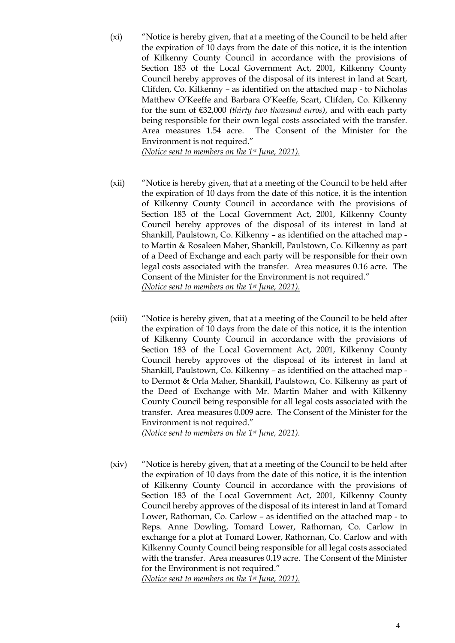(xi) "Notice is hereby given, that at a meeting of the Council to be held after the expiration of 10 days from the date of this notice, it is the intention of Kilkenny County Council in accordance with the provisions of Section 183 of the Local Government Act, 2001, Kilkenny County Council hereby approves of the disposal of its interest in land at Scart, Clifden, Co. Kilkenny – as identified on the attached map - to Nicholas Matthew O'Keeffe and Barbara O'Keeffe, Scart, Clifden, Co. Kilkenny for the sum of €32,000 *(thirty two thousand euros)*, and with each party being responsible for their own legal costs associated with the transfer. Area measures 1.54 acre. The Consent of the Minister for the Environment is not required."

*(Notice sent to members on the 1st June, 2021).*

- (xii) "Notice is hereby given, that at a meeting of the Council to be held after the expiration of 10 days from the date of this notice, it is the intention of Kilkenny County Council in accordance with the provisions of Section 183 of the Local Government Act, 2001, Kilkenny County Council hereby approves of the disposal of its interest in land at Shankill, Paulstown, Co. Kilkenny – as identified on the attached map to Martin & Rosaleen Maher, Shankill, Paulstown, Co. Kilkenny as part of a Deed of Exchange and each party will be responsible for their own legal costs associated with the transfer. Area measures 0.16 acre. The Consent of the Minister for the Environment is not required." *(Notice sent to members on the 1st June, 2021).*
- (xiii) "Notice is hereby given, that at a meeting of the Council to be held after the expiration of 10 days from the date of this notice, it is the intention of Kilkenny County Council in accordance with the provisions of Section 183 of the Local Government Act, 2001, Kilkenny County Council hereby approves of the disposal of its interest in land at Shankill, Paulstown, Co. Kilkenny – as identified on the attached map to Dermot & Orla Maher, Shankill, Paulstown, Co. Kilkenny as part of the Deed of Exchange with Mr. Martin Maher and with Kilkenny County Council being responsible for all legal costs associated with the transfer. Area measures 0.009 acre. The Consent of the Minister for the Environment is not required."

*(Notice sent to members on the 1st June, 2021).*

(xiv) "Notice is hereby given, that at a meeting of the Council to be held after the expiration of 10 days from the date of this notice, it is the intention of Kilkenny County Council in accordance with the provisions of Section 183 of the Local Government Act, 2001, Kilkenny County Council hereby approves of the disposal of its interest in land at Tomard Lower, Rathornan, Co. Carlow – as identified on the attached map - to Reps. Anne Dowling, Tomard Lower, Rathornan, Co. Carlow in exchange for a plot at Tomard Lower, Rathornan, Co. Carlow and with Kilkenny County Council being responsible for all legal costs associated with the transfer. Area measures 0.19 acre. The Consent of the Minister for the Environment is not required." *(Notice sent to members on the 1st June, 2021).*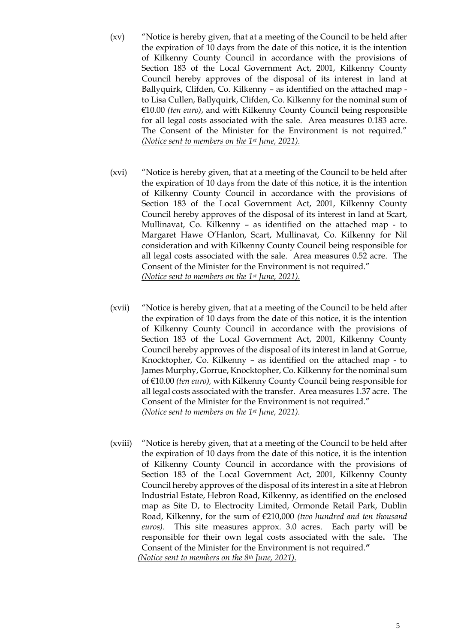- (xv) "Notice is hereby given, that at a meeting of the Council to be held after the expiration of 10 days from the date of this notice, it is the intention of Kilkenny County Council in accordance with the provisions of Section 183 of the Local Government Act, 2001, Kilkenny County Council hereby approves of the disposal of its interest in land at Ballyquirk, Clifden, Co. Kilkenny – as identified on the attached map to Lisa Cullen, Ballyquirk, Clifden, Co. Kilkenny for the nominal sum of €10.00 *(ten euro)*, and with Kilkenny County Council being responsible for all legal costs associated with the sale. Area measures 0.183 acre. The Consent of the Minister for the Environment is not required." *(Notice sent to members on the 1st June, 2021).*
- (xvi) "Notice is hereby given, that at a meeting of the Council to be held after the expiration of 10 days from the date of this notice, it is the intention of Kilkenny County Council in accordance with the provisions of Section 183 of the Local Government Act, 2001, Kilkenny County Council hereby approves of the disposal of its interest in land at Scart, Mullinavat, Co. Kilkenny – as identified on the attached map - to Margaret Hawe O'Hanlon, Scart, Mullinavat, Co. Kilkenny for Nil consideration and with Kilkenny County Council being responsible for all legal costs associated with the sale. Area measures 0.52 acre. The Consent of the Minister for the Environment is not required." *(Notice sent to members on the 1st June, 2021).*
- (xvii) "Notice is hereby given, that at a meeting of the Council to be held after the expiration of 10 days from the date of this notice, it is the intention of Kilkenny County Council in accordance with the provisions of Section 183 of the Local Government Act, 2001, Kilkenny County Council hereby approves of the disposal of its interest in land at Gorrue, Knocktopher, Co. Kilkenny – as identified on the attached map - to James Murphy, Gorrue, Knocktopher, Co. Kilkenny for the nominal sum of €10.00 *(ten euro),* with Kilkenny County Council being responsible for all legal costs associated with the transfer. Area measures 1.37 acre. The Consent of the Minister for the Environment is not required." *(Notice sent to members on the 1st June, 2021).*
- (xviii) "Notice is hereby given, that at a meeting of the Council to be held after the expiration of 10 days from the date of this notice, it is the intention of Kilkenny County Council in accordance with the provisions of Section 183 of the Local Government Act, 2001, Kilkenny County Council hereby approves of the disposal of its interest in a site at Hebron Industrial Estate, Hebron Road, Kilkenny, as identified on the enclosed map as Site D, to Electrocity Limited, Ormonde Retail Park, Dublin Road, Kilkenny, for the sum of €210,000 *(two hundred and ten thousand euros)*. This site measures approx. 3.0 acres. Each party will be responsible for their own legal costs associated with the sale**.** The Consent of the Minister for the Environment is not required.**"** *(Notice sent to members on the 8th June, 2021).*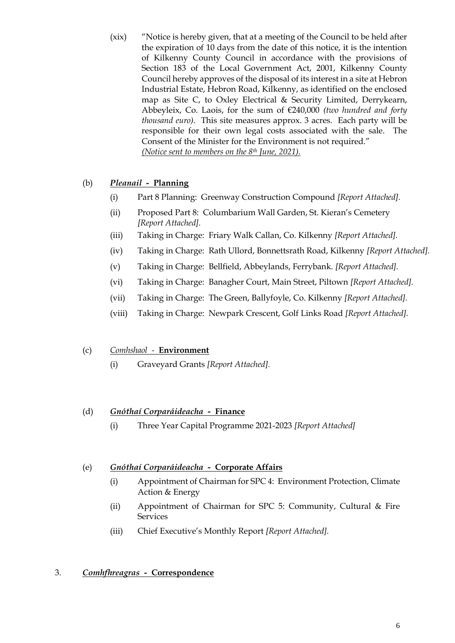(xix) "Notice is hereby given, that at a meeting of the Council to be held after the expiration of 10 days from the date of this notice, it is the intention of Kilkenny County Council in accordance with the provisions of Section 183 of the Local Government Act, 2001, Kilkenny County Council hereby approves of the disposal of its interest in a site at Hebron Industrial Estate, Hebron Road, Kilkenny, as identified on the enclosed map as Site C, to Oxley Electrical & Security Limited, Derrykearn, Abbeyleix, Co. Laois, for the sum of €240,000 *(two hundred and forty thousand euro)*. This site measures approx. 3 acres. Each party will be responsible for their own legal costs associated with the sale. The Consent of the Minister for the Environment is not required." *(Notice sent to members on the 8th June, 2021).*

## (b) *Pleanail -* **Planning**

- (i) Part 8 Planning: Greenway Construction Compound *[Report Attached].*
- (ii) Proposed Part 8: Columbarium Wall Garden, St. Kieran's Cemetery *[Report Attached].*
- (iii) Taking in Charge: Friary Walk Callan, Co. Kilkenny *[Report Attached].*
- (iv) Taking in Charge: Rath Ullord, Bonnettsrath Road, Kilkenny *[Report Attached].*
- (v) Taking in Charge: Bellfield, Abbeylands, Ferrybank. *[Report Attached].*
- (vi) Taking in Charge: Banagher Court, Main Street, Piltown *[Report Attached].*
- (vii) Taking in Charge: The Green, Ballyfoyle, Co. Kilkenny *[Report Attached].*
- (viii) Taking in Charge: Newpark Crescent, Golf Links Road *[Report Attached].*

#### (c) *Comhshaol -* **Environment**

(i) Graveyard Grants *[Report Attached].*

#### (d) *Gnóthaí Corparáideacha -* **Finance**

(i) Three Year Capital Programme 2021-2023 *[Report Attached]*

### (e) *Gnóthaí Corparáideacha -* **Corporate Affairs**

- (i) Appointment of Chairman for SPC 4: Environment Protection, Climate Action & Energy
- (ii) Appointment of Chairman for SPC 5: Community, Cultural & Fire **Services**
- (iii) Chief Executive's Monthly Report *[Report Attached].*

#### 3. *Comhfhreagras -* **Correspondence**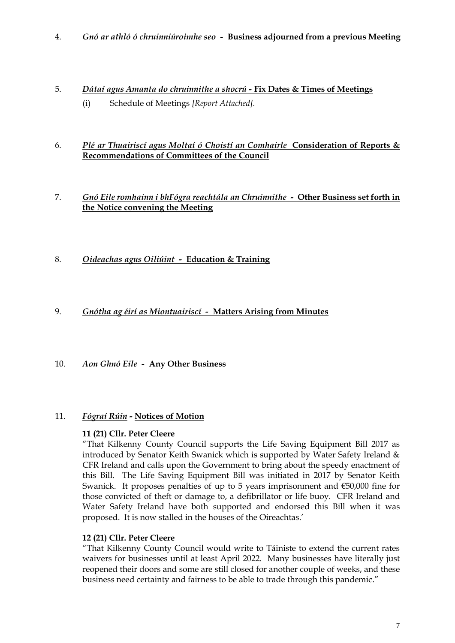- 4. *Gnó ar athló ó chruinniúroimhe seo* **Business adjourned from a previous Meeting**
- 5. *Dátaí agus Amanta do chruinnithe a shocrú -* **Fix Dates & Times of Meetings** (i) Schedule of Meetings *[Report Attached].*

#### 6. *Plé ar Thuairiscí agus Moltaí ó Choistí an Comhairle* **Consideration of Reports & Recommendations of Committees of the Council**

### 7. *Gnó Eile romhainn i bhFógra reachtála an Chruinnithe -* **Other Business set forth in the Notice convening the Meeting**

8. *Oideachas agus Oiliúint -* **Education & Training**

#### 9. *Gnótha ag éirí as Miontuairiscí -* **Matters Arising from Minutes**

#### 10. *Aon Ghnó Eile -* **Any Other Business**

#### 11. *Fógraí Rúin -* **Notices of Motion**

#### **11 (21) Cllr. Peter Cleere**

"That Kilkenny County Council supports the Life Saving Equipment Bill 2017 as introduced by Senator Keith Swanick which is supported by Water Safety Ireland & CFR Ireland and calls upon the Government to bring about the speedy enactment of this Bill. The Life Saving Equipment Bill was initiated in 2017 by Senator Keith Swanick. It proposes penalties of up to 5 years imprisonment and €50,000 fine for those convicted of theft or damage to, a defibrillator or life buoy. CFR Ireland and Water Safety Ireland have both supported and endorsed this Bill when it was proposed. It is now stalled in the houses of the Oireachtas.'

#### **12 (21) Cllr. Peter Cleere**

"That Kilkenny County Council would write to Táiniste to extend the current rates waivers for businesses until at least April 2022. Many businesses have literally just reopened their doors and some are still closed for another couple of weeks, and these business need certainty and fairness to be able to trade through this pandemic."